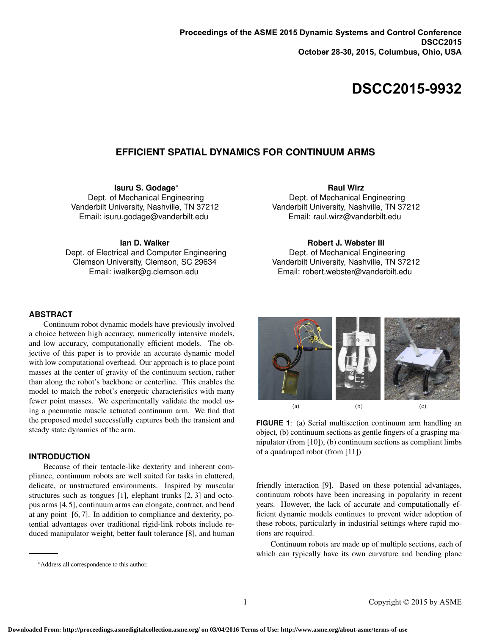# **DSCC2015-9932**

# **EFFICIENT SPATIAL DYNAMICS FOR CONTINUUM ARMS**

**Isuru S. Godage**<sup>∗</sup> Dept. of Mechanical Engineering Vanderbilt University, Nashville, TN 37212 Email: isuru.godage@vanderbilt.edu

**Ian D. Walker**

Dept. of Electrical and Computer Engineering Clemson University, Clemson, SC 29634 Email: iwalker@g.clemson.edu

## **Raul Wirz**

Dept. of Mechanical Engineering Vanderbilt University, Nashville, TN 37212 Email: raul.wirz@vanderbilt.edu

## **Robert J. Webster III**

Dept. of Mechanical Engineering Vanderbilt University, Nashville, TN 37212 Email: robert.webster@vanderbilt.edu

## **ABSTRACT**

Continuum robot dynamic models have previously involved a choice between high accuracy, numerically intensive models, and low accuracy, computationally efficient models. The objective of this paper is to provide an accurate dynamic model with low computational overhead. Our approach is to place point masses at the center of gravity of the continuum section, rather than along the robot's backbone or centerline. This enables the model to match the robot's energetic characteristics with many fewer point masses. We experimentally validate the model using a pneumatic muscle actuated continuum arm. We find that the proposed model successfully captures both the transient and steady state dynamics of the arm.

## **INTRODUCTION**

Because of their tentacle-like dexterity and inherent compliance, continuum robots are well suited for tasks in cluttered, delicate, or unstructured environments. Inspired by muscular structures such as tongues [1], elephant trunks [2, 3] and octopus arms [4,5], continuum arms can elongate, contract, and bend at any point [6, 7]. In addition to compliance and dexterity, potential advantages over traditional rigid-link robots include reduced manipulator weight, better fault tolerance [8], and human (a)  $(b)$   $(c)$ 

**FIGURE 1**: (a) Serial multisection continuum arm handling an object, (b) continuum sections as gentle fingers of a grasping manipulator (from [10]), (b) continuum sections as compliant limbs of a quadruped robot (from [11])

friendly interaction [9]. Based on these potential advantages, continuum robots have been increasing in popularity in recent years. However, the lack of accurate and computationally efficient dynamic models continues to prevent wider adoption of these robots, particularly in industrial settings where rapid motions are required.

Continuum robots are made up of multiple sections, each of which can typically have its own curvature and bending plane

<sup>∗</sup>Address all correspondence to this author.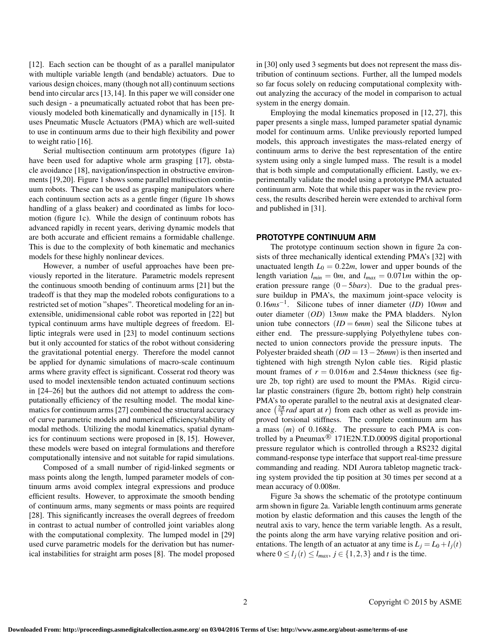[12]. Each section can be thought of as a parallel manipulator with multiple variable length (and bendable) actuators. Due to various design choices, many (though not all) continuum sections bend into circular arcs [13,14]. In this paper we will consider one such design - a pneumatically actuated robot that has been previously modeled both kinematically and dynamically in [15]. It uses Pneumatic Muscle Actuators (PMA) which are well-suited to use in continuum arms due to their high flexibility and power to weight ratio [16].

Serial multisection continuum arm prototypes (figure 1a) have been used for adaptive whole arm grasping [17], obstacle avoidance [18], navigation/inspection in obstructive environments [19,20]. Figure 1 shows some parallel multisection continuum robots. These can be used as grasping manipulators where each continuum section acts as a gentle finger (figure 1b shows handling of a glass beaker) and coordinated as limbs for locomotion (figure 1c). While the design of continuum robots has advanced rapidly in recent years, deriving dynamic models that are both accurate and efficient remains a formidable challenge. This is due to the complexity of both kinematic and mechanics models for these highly nonlinear devices.

However, a number of useful approaches have been previously reported in the literature. Parametric models represent the continuous smooth bending of continuum arms [21] but the tradeoff is that they map the modeled robots configurations to a restricted set of motion "shapes". Theoretical modeling for an inextensible, unidimensional cable robot was reported in [22] but typical continuum arms have multiple degrees of freedom. Elliptic integrals were used in [23] to model continuum sections but it only accounted for statics of the robot without considering the gravitational potential energy. Therefore the model cannot be applied for dynamic simulations of macro-scale continuum arms where gravity effect is significant. Cosserat rod theory was used to model inextensible tendon actuated continuum sections in [24–26] but the authors did not attempt to address the computationally efficiency of the resulting model. The modal kinematics for continuum arms [27] combined the structural accuracy of curve parametric models and numerical efficiency/stability of modal methods. Utilizing the modal kinematics, spatial dynamics for continuum sections were proposed in [8, 15]. However, these models were based on integral formulations and therefore computationally intensive and not suitable for rapid simulations.

Composed of a small number of rigid-linked segments or mass points along the length, lumped parameter models of continuum arms avoid complex integral expressions and produce efficient results. However, to approximate the smooth bending of continuum arms, many segments or mass points are required [28]. This significantly increases the overall degrees of freedom in contrast to actual number of controlled joint variables along with the computational complexity. The lumped model in [29] used curve parametric models for the derivation but has numerical instabilities for straight arm poses [8]. The model proposed in [30] only used 3 segments but does not represent the mass distribution of continuum sections. Further, all the lumped models so far focus solely on reducing computational complexity without analyzing the accuracy of the model in comparison to actual system in the energy domain.

Employing the modal kinematics proposed in [12, 27], this paper presents a single mass, lumped parameter spatial dynamic model for continuum arms. Unlike previously reported lumped models, this approach investigates the mass-related energy of continuum arms to derive the best representation of the entire system using only a single lumped mass. The result is a model that is both simple and computationally efficient. Lastly, we experimentally validate the model using a prototype PMA actuated continuum arm. Note that while this paper was in the review process, the results described herein were extended to archival form and published in [31].

## **PROTOTYPE CONTINUUM ARM**

The prototype continuum section shown in figure 2a consists of three mechanically identical extending PMA's [32] with unactuated length  $L_0 = 0.22m$ , lower and upper bounds of the length variation  $l_{min} = 0m$ , and  $l_{max} = 0.071m$  within the operation pressure range (0−5*bars*). Due to the gradual pressure buildup in PMA's, the maximum joint-space velocity is 0.16*ms*−<sup>1</sup> . Silicone tubes of inner diameter (*ID*) 10*mm* and outer diameter (*OD*) 13*mm* make the PMA bladders. Nylon union tube connectors  $(ID = 6mm)$  seal the Silicone tubes at either end. The pressure-supplying Polyethylene tubes connected to union connectors provide the pressure inputs. The Polyester braided sheath (*OD* = 13−26*mm*) is then inserted and tightened with high strength Nylon cable ties. Rigid plastic mount frames of  $r = 0.016m$  and 2.54*mm* thickness (see figure 2b, top right) are used to mount the PMAs. Rigid circular plastic constrainers (figure 2b, bottom right) help constrain PMA's to operate parallel to the neutral axis at designated clearance  $\left(\frac{2\pi}{3} rad \right)$  apart at *r*) from each other as well as provide improved torsional stiffness. The complete continuum arm has a mass (*m*) of 0.168*kg*. The pressure to each PMA is controlled by a Pneumax<sup>®</sup> 171E2N.T.D.0009S digital proportional pressure regulator which is controlled through a RS232 digital command-response type interface that support real-time pressure commanding and reading. NDI Aurora tabletop magnetic tracking system provided the tip position at 30 times per second at a mean accuracy of 0.008*m*.

Figure 3a shows the schematic of the prototype continuum arm shown in figure 2a. Variable length continuum arms generate motion by elastic deformation and this causes the length of the neutral axis to vary, hence the term variable length. As a result, the points along the arm have varying relative position and orientations. The length of an actuator at any time is  $L_i = L_0 + l_i(t)$ where  $0 \leq l_i(t) \leq l_{max}, j \in \{1, 2, 3\}$  and *t* is the time.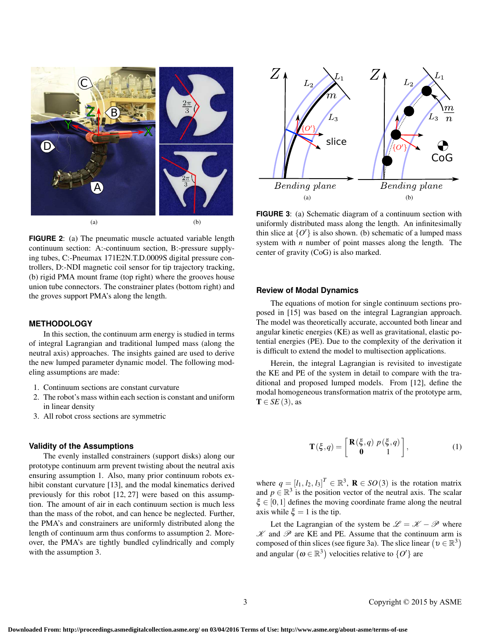



**FIGURE 2**: (a) The pneumatic muscle actuated variable length continuum section: A:-continuum section, B:-pressure supplying tubes, C:-Pneumax 171E2N.T.D.0009S digital pressure controllers, D:-NDI magnetic coil sensor for tip trajectory tracking, (b) rigid PMA mount frame (top right) where the grooves house union tube connectors. The constrainer plates (bottom right) and the groves support PMA's along the length.

#### **METHODOLOGY**

In this section, the continuum arm energy is studied in terms of integral Lagrangian and traditional lumped mass (along the neutral axis) approaches. The insights gained are used to derive the new lumped parameter dynamic model. The following modeling assumptions are made:

- 1. Continuum sections are constant curvature
- 2. The robot's mass within each section is constant and uniform in linear density
- 3. All robot cross sections are symmetric

#### **Validity of the Assumptions**

The evenly installed constrainers (support disks) along our prototype continuum arm prevent twisting about the neutral axis ensuring assumption 1. Also, many prior continuum robots exhibit constant curvature [13], and the modal kinematics derived previously for this robot [12, 27] were based on this assumption. The amount of air in each continuum section is much less than the mass of the robot, and can hence be neglected. Further, the PMA's and constrainers are uniformly distributed along the length of continuum arm thus conforms to assumption 2. Moreover, the PMA's are tightly bundled cylindrically and comply with the assumption 3.

**FIGURE 3**: (a) Schematic diagram of a continuum section with uniformly distributed mass along the length. An infinitesimally thin slice at  ${O}'$  is also shown. (b) schematic of a lumped mass system with *n* number of point masses along the length. The center of gravity (CoG) is also marked.

## **Review of Modal Dynamics**

The equations of motion for single continuum sections proposed in [15] was based on the integral Lagrangian approach. The model was theoretically accurate, accounted both linear and angular kinetic energies (KE) as well as gravitational, elastic potential energies (PE). Due to the complexity of the derivation it is difficult to extend the model to multisection applications.

Herein, the integral Lagrangian is revisited to investigate the KE and PE of the system in detail to compare with the traditional and proposed lumped models. From [12], define the modal homogeneous transformation matrix of the prototype arm,  $T \in SE(3)$ , as

$$
\mathbf{T}(\xi, q) = \begin{bmatrix} \mathbf{R}(\xi, q) \ p(\xi, q) \\ \mathbf{0} & 1 \end{bmatrix},\tag{1}
$$

where  $q = [l_1, l_2, l_3]^T \in \mathbb{R}^3$ ,  $\mathbf{R} \in SO(3)$  is the rotation matrix and  $p \in \mathbb{R}^3$  is the position vector of the neutral axis. The scalar  $\xi \in [0,1]$  defines the moving coordinate frame along the neutral axis while  $\xi = 1$  is the tip.

Let the Lagrangian of the system be  $\mathscr{L} = \mathscr{K} - \mathscr{P}$  where  $\mathscr K$  and  $\mathscr P$  are KE and PE. Assume that the continuum arm is composed of thin slices (see figure 3a). The slice linear  $(v \in \mathbb{R}^3)$ and angular  $(\omega \in \mathbb{R}^3)$  velocities relative to  $\{O\}$  are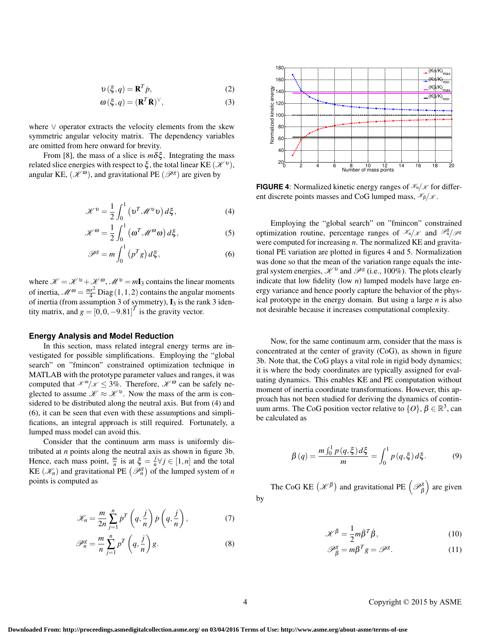$$
\mathbf{v}\left(\xi, q\right) = \mathbf{R}^T \dot{p},\tag{2}
$$

$$
\omega(\xi, q) = (\mathbf{R}^T \dot{\mathbf{R}})^{\vee}, \tag{3}
$$

where ∨ operator extracts the velocity elements from the skew symmetric angular velocity matrix. The dependency variables are omitted from here onward for brevity.

From [8], the mass of a slice is  $m\delta\xi$ . Integrating the mass related slice energies with respect to  $\xi$ , the total linear KE  $(\mathscr{K}^v)$ , angular KE,  $(\mathcal{K}^{\omega})$ , and gravitational PE  $(\mathcal{P}^g)$  are given by

$$
\mathcal{K}^{\nu} = \frac{1}{2} \int_0^1 \left( \mathbf{v}^T \mathcal{M}^{\nu} \mathbf{v} \right) d\xi, \tag{4}
$$

$$
\mathcal{K}^{\omega} = \frac{1}{2} \int_0^1 (\omega^T \mathcal{M}^{\omega} \omega) d\xi, \qquad (5)
$$

$$
\mathscr{P}^g = m \int_0^1 (p^T g) d\xi, \qquad (6)
$$

where  $\mathcal{K} = \mathcal{K}^v + \mathcal{K}^{\omega}$ ,  $\mathcal{M}^v = mI_3$  contains the linear moments of inertia,  $\mathcal{M}^{\omega} = \frac{mr^2}{4} \text{Diag}(1,1,2)$  contains the angular moments of inertia (from assumption 3 of symmetry),  $I_3$  is the rank 3 identity matrix, and  $g = [0, 0, -9.81]^T$  is the gravity vector.

#### **Energy Analysis and Model Reduction**

In this section, mass related integral energy terms are investigated for possible simplifications. Employing the "global search" on "fmincon" constrained optimization technique in MATLAB with the prototype parameter values and ranges, it was computed that  $\mathcal{K}^{\omega}/\mathcal{K} \leq 3\%$ . Therefore,  $\mathcal{K}^{\omega}$  can be safely neglected to assume  $\mathcal{K} \approx \mathcal{K}^v$ . Now the mass of the arm is considered to be distributed along the neutral axis. But from (4) and (6), it can be seen that even with these assumptions and simplifications, an integral approach is still required. Fortunately, a lumped mass model can avoid this.

Consider that the continuum arm mass is uniformly distributed at *n* points along the neutral axis as shown in figure 3b. Hence, each mass point,  $\frac{m}{n}$  is at  $\xi = \frac{j}{n}$  $\frac{J}{n}$  $\forall j \in [1, n]$  and the total KE  $(\mathcal{K}_n)$  and gravitational PE  $(\mathcal{P}_n^g)$  of the lumped system of *n* points is computed as

$$
\mathcal{K}_n = \frac{m}{2n} \sum_{j=1}^n \dot{p}^T \left( q, \frac{j}{n} \right) \dot{p} \left( q, \frac{j}{n} \right),\tag{7}
$$

$$
\mathscr{P}_n^g = \frac{m}{n} \sum_{j=1}^n p^T \left( q, \frac{j}{n} \right) g. \tag{8}
$$



**FIGURE 4**: Normalized kinetic energy ranges of  $\mathcal{K}_n/\mathcal{K}$  for different discrete points masses and CoG lumped mass,  $\mathcal{K}_{\beta}/\mathcal{K}$ .

Employing the "global search" on "fmincon" constrained optimization routine, percentage ranges of  $\mathcal{K}_n/\mathcal{K}$  and  $\mathcal{P}_n^g/\mathcal{P}^g$ were computed for increasing *n*. The normalized KE and gravitational PE variation are plotted in figures 4 and 5. Normalization was done so that the mean of the variation range equals the integral system energies,  $\mathcal{K}^v$  and  $\mathcal{P}^g$  (i.e., 100%). The plots clearly indicate that low fidelity (low *n*) lumped models have large energy variance and hence poorly capture the behavior of the physical prototype in the energy domain. But using a large *n* is also not desirable because it increases computational complexity.

Now, for the same continuum arm, consider that the mass is concentrated at the center of gravity (CoG), as shown in figure 3b. Note that, the CoG plays a vital role in rigid body dynamics; it is where the body coordinates are typically assigned for evaluating dynamics. This enables KE and PE computation without moment of inertia coordinate transformations. However, this approach has not been studied for deriving the dynamics of continuum arms. The CoG position vector relative to  $\{O\}$ ,  $\beta \in \mathbb{R}^3$ , can be calculated as

$$
\beta(q) = \frac{m \int_0^1 p(q,\xi) d\xi}{m} = \int_0^1 p(q,\xi) d\xi.
$$
 (9)

The CoG KE  $(\mathcal{K}^{\beta})$  and gravitational PE  $(\mathcal{P}_{\beta}^{g})$  are given by

$$
\mathcal{K}^{\beta} = \frac{1}{2} m \dot{\beta}^T \dot{\beta},\tag{10}
$$

$$
\mathscr{P}_{\beta}^{g} = m\beta^{T}g = \mathscr{P}^{g}.
$$
 (11)

4 Copyright © 2015 by ASME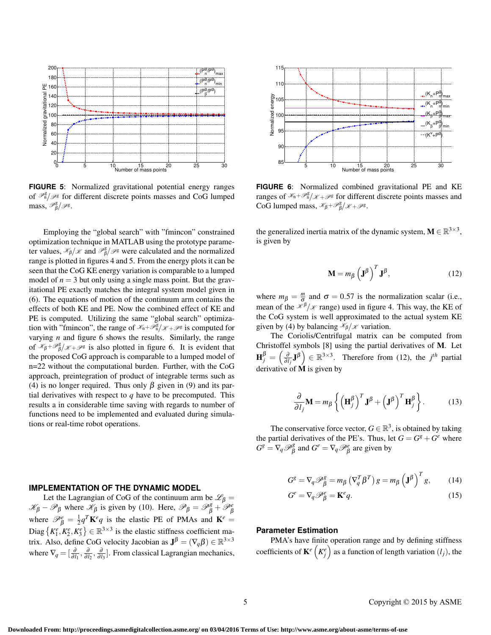

**FIGURE 5**: Normalized gravitational potential energy ranges of  $\mathcal{P}_{n}^g/\mathcal{P}^g$  for different discrete points masses and CoG lumped mass,  $\mathscr{P}_{\beta}^{\mathrm{g}}/\mathscr{P}^{\mathrm{g}}$ .

Employing the "global search" with "fmincon" constrained optimization technique in MATLAB using the prototype parameter values,  $\mathcal{K}_{\beta}/\mathcal{K}$  and  $\mathcal{P}_{\beta}^g/\mathcal{P}^g$  were calculated and the normalized range is plotted in figures 4 and 5. From the energy plots it can be seen that the CoG KE energy variation is comparable to a lumped model of  $n = 3$  but only using a single mass point. But the gravitational PE exactly matches the integral system model given in (6). The equations of motion of the continuum arm contains the effects of both KE and PE. Now the combined effect of KE and PE is computed. Utilizing the same "global search" optimization with "fmincon", the range of  $\mathcal{K}_n + \mathcal{P}_n^g/\mathcal{K} + \mathcal{P}^g$  is computed for varying *n* and figure 6 shows the results. Similarly, the range of  $\mathcal{K}_{\beta} + \mathcal{P}_{\beta}^g/\mathcal{K} + \mathcal{P}^g$  is also plotted in figure 6. It is evident that the proposed CoG approach is comparable to a lumped model of n=22 without the computational burden. Further, with the CoG approach, preintegration of product of integrable terms such as (4) is no longer required. Thus only  $\beta$  given in (9) and its partial derivatives with respect to  $q$  have to be precomputed. This results a in considerable time saving with regards to number of functions need to be implemented and evaluated during simulations or real-time robot operations.

## **IMPLEMENTATION OF THE DYNAMIC MODEL**

Let the Lagrangian of CoG of the continuum arm be  $\mathscr{L}_{\beta} =$  $\mathcal{K}_{\beta} - \mathcal{P}_{\beta}$  where  $\mathcal{K}_{\beta}$  is given by (10). Here,  $\mathcal{P}_{\beta} = \mathcal{P}_{\beta}^g + \mathcal{P}_{\beta}^e$ where  $\mathcal{P}_{\beta}^{e} = \frac{1}{2}q^{T}\mathbf{K}^{e}q$  is the elastic PE of PMAs and  $\mathbf{K}^{e} =$ Diag  $\{K_1^e, K_2^e, K_3^e\} \in \mathbb{R}^{3 \times 3}$  is the elastic stiffness coefficient matrix. Also, define CoG velocity Jacobian as  $J^{\beta} = (\nabla_q \beta) \in \mathbb{R}^{3 \times 3}$ where  $\nabla_q = \left[\frac{\partial}{\partial l_1}, \frac{\partial}{\partial l_2}, \frac{\partial}{\partial l_3}\right]$ . From classical Lagrangian mechanics,



**FIGURE 6**: Normalized combined gravitational PE and KE ranges of  $\mathcal{K}_n + \mathcal{P}_n^g/\mathcal{K} + \mathcal{P}^g$  for different discrete points masses and CoG lumped mass,  $\mathscr{K}_{\beta} + \mathscr{P}_{\beta}^g/\mathscr{K} + \mathscr{P}^g$ .

the generalized inertia matrix of the dynamic system,  $M \in \mathbb{R}^{3 \times 3}$ , is given by

$$
\mathbf{M} = m_{\beta} \left(\mathbf{J}^{\beta}\right)^{T} \mathbf{J}^{\beta},\tag{12}
$$

where  $m_{\beta} = \frac{m}{\sigma}$  and  $\sigma = 0.57$  is the normalization scalar (i.e., mean of the  $\mathcal{K}^{\beta}/\mathcal{K}$  range) used in figure 4. This way, the KE of the CoG system is well approximated to the actual system KE given by (4) by balancing  $\mathcal{K}_{\beta}/\mathcal{K}$  variation.

The Coriolis/Centrifugal matrix can be computed from Christoffel symbols [8] using the partial derivatives of M. Let  $\mathbf{H}_{j}^{\beta} = \left(\frac{\partial}{\partial l_{j}}\mathbf{J}^{\beta}\right) \in \mathbb{R}^{3 \times 3}$ . Therefore from (12), the *j*<sup>th</sup> partial derivative of M is given by

$$
\frac{\partial}{\partial l_j} \mathbf{M} = m_\beta \left\{ \left( \mathbf{H}_j^\beta \right)^T \mathbf{J}^\beta + \left( \mathbf{J}^\beta \right)^T \mathbf{H}_j^\beta \right\}.
$$
 (13)

The conservative force vector,  $G \in \mathbb{R}^3$ , is obtained by taking the partial derivatives of the PE's. Thus, let  $G = G^g + G^e$  where  $G^g = \nabla_q \mathcal{P}_{\beta}^g$  and  $G^e = \nabla_q \mathcal{P}_{\beta}^e$  are given by

$$
G^g = \nabla_q \mathcal{P}_{\beta}^g = m_{\beta} \left( \nabla_q^T \beta^T \right) g = m_{\beta} \left( \mathbf{J}^{\beta} \right)^T g, \qquad (14)
$$

$$
G^e = \nabla_q \mathcal{P}^e_{\beta} = \mathbf{K}^e q. \tag{15}
$$

#### **Parameter Estimation**

PMA's have finite operation range and by defining stiffness coefficients of  $\mathbf{K}^e\left(K_j^e\right)$  as a function of length variation  $(l_j)$ , the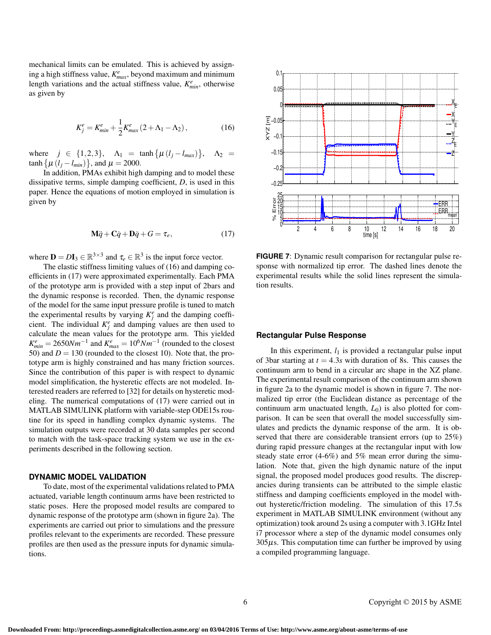mechanical limits can be emulated. This is achieved by assign- $\lim_{m \to \infty}$  a high stiffness value,  $K_{max}^e$ , beyond maximum and minimum length variations and the actual stiffness value,  $K_{min}^e$ , otherwise as given by

$$
K_j^e = K_{min}^e + \frac{1}{2} K_{max}^e (2 + \Lambda_1 - \Lambda_2), \qquad (16)
$$

where  $j \in \{1, 2, 3\}, \Delta_1 = \tanh{\{\mu (l_j - l_{max})\}}, \Delta_2 =$  $\tanh \{ \mu (l_j - l_{min}) \}, \text{ and } \mu = 2000.$ 

In addition, PMAs exhibit high damping and to model these dissipative terms, simple damping coefficient, *D*, is used in this paper. Hence the equations of motion employed in simulation is given by

$$
M\ddot{q} + C\dot{q} + D\dot{q} + G = \tau_e, \qquad (17)
$$

where  $\mathbf{D} = D\mathbf{I}_3 \in \mathbb{R}^{3 \times 3}$  and  $\tau_e \in \mathbb{R}^3$  is the input force vector.

The elastic stiffness limiting values of (16) and damping coefficients in (17) were approximated experimentally. Each PMA of the prototype arm is provided with a step input of 2bars and the dynamic response is recorded. Then, the dynamic response of the model for the same input pressure profile is tuned to match the experimental results by varying  $K_j^e$  and the damping coefficient. The individual  $K_j^e$  and damping values are then used to calculate the mean values for the prototype arm. This yielded  $K_{min}^e = 2650Nm^{-1}$  and  $K_{max}^e = 10^6Nm^{-1}$  (rounded to the closest 50) and  $D = 130$  (rounded to the closest 10). Note that, the prototype arm is highly constrained and has many friction sources. Since the contribution of this paper is with respect to dynamic model simplification, the hysteretic effects are not modeled. Interested readers are referred to [32] for details on hysteretic modeling. The numerical computations of (17) were carried out in MATLAB SIMULINK platform with variable-step ODE15s routine for its speed in handling complex dynamic systems. The simulation outputs were recorded at 30 data samples per second to match with the task-space tracking system we use in the experiments described in the following section.

#### **DYNAMIC MODEL VALIDATION**

To date, most of the experimental validations related to PMA actuated, variable length continuum arms have been restricted to static poses. Here the proposed model results are compared to dynamic response of the prototype arm (shown in figure 2a). The experiments are carried out prior to simulations and the pressure profiles relevant to the experiments are recorded. These pressure profiles are then used as the pressure inputs for dynamic simulations.



**FIGURE 7**: Dynamic result comparison for rectangular pulse response with normalized tip error. The dashed lines denote the experimental results while the solid lines represent the simulation results.

## **Rectangular Pulse Response**

In this experiment,  $l_1$  is provided a rectangular pulse input of 3bar starting at  $t = 4.3s$  with duration of 8s. This causes the continuum arm to bend in a circular arc shape in the XZ plane. The experimental result comparison of the continuum arm shown in figure 2a to the dynamic model is shown in figure 7. The normalized tip error (the Euclidean distance as percentage of the continuum arm unactuated length,  $L_0$ ) is also plotted for comparison. It can be seen that overall the model successfully simulates and predicts the dynamic response of the arm. It is observed that there are considerable transient errors (up to 25%) during rapid pressure changes at the rectangular input with low steady state error (4-6%) and 5% mean error during the simulation. Note that, given the high dynamic nature of the input signal, the proposed model produces good results. The discrepancies during transients can be attributed to the simple elastic stiffness and damping coefficients employed in the model without hysteretic/friction modeling. The simulation of this 17.5s experiment in MATLAB SIMULINK environment (without any optimization) took around 2s using a computer with 3.1GHz Intel i7 processor where a step of the dynamic model consumes only  $305\mu$ s. This computation time can further be improved by using a compiled programming language.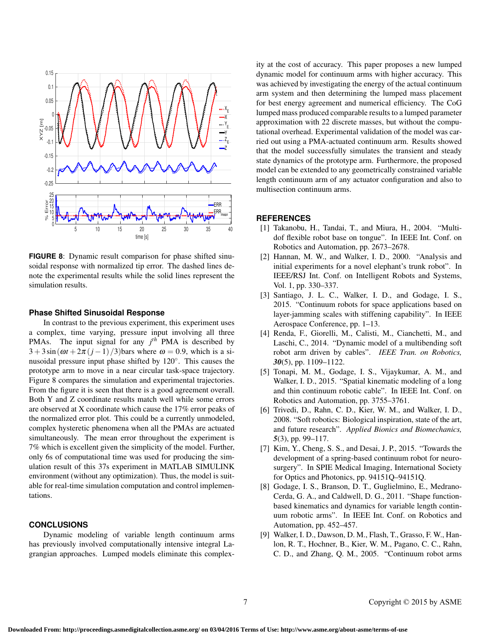

**FIGURE 8**: Dynamic result comparison for phase shifted sinusoidal response with normalized tip error. The dashed lines denote the experimental results while the solid lines represent the simulation results.

## **Phase Shifted Sinusoidal Response**

In contrast to the previous experiment, this experiment uses a complex, time varying, pressure input involving all three PMAs. The input signal for any *j th* PMA is described by  $3 + 3\sin(\omega t + 2\pi (j-1)/3)$ bars where  $\omega = 0.9$ , which is a sinusoidal pressure input phase shifted by 120◦ . This causes the prototype arm to move in a near circular task-space trajectory. Figure 8 compares the simulation and experimental trajectories. From the figure it is seen that there is a good agreement overall. Both Y and Z coordinate results match well while some errors are observed at X coordinate which cause the 17% error peaks of the normalized error plot. This could be a currently unmodeled, complex hysteretic phenomena when all the PMAs are actuated simultaneously. The mean error throughout the experiment is 7% which is excellent given the simplicity of the model. Further, only 6s of computational time was used for producing the simulation result of this 37s experiment in MATLAB SIMULINK environment (without any optimization). Thus, the model is suitable for real-time simulation computation and control implementations.

## **CONCLUSIONS**

Dynamic modeling of variable length continuum arms has previously involved computationally intensive integral Lagrangian approaches. Lumped models eliminate this complexity at the cost of accuracy. This paper proposes a new lumped dynamic model for continuum arms with higher accuracy. This was achieved by investigating the energy of the actual continuum arm system and then determining the lumped mass placement for best energy agreement and numerical efficiency. The CoG lumped mass produced comparable results to a lumped parameter approximation with 22 discrete masses, but without the computational overhead. Experimental validation of the model was carried out using a PMA-actuated continuum arm. Results showed that the model successfully simulates the transient and steady state dynamics of the prototype arm. Furthermore, the proposed model can be extended to any geometrically constrained variable length continuum arm of any actuator configuration and also to multisection continuum arms.

## **REFERENCES**

- [1] Takanobu, H., Tandai, T., and Miura, H., 2004. "Multidof flexible robot base on tongue". In IEEE Int. Conf. on Robotics and Automation, pp. 2673–2678.
- [2] Hannan, M. W., and Walker, I. D., 2000. "Analysis and initial experiments for a novel elephant's trunk robot". In IEEE/RSJ Int. Conf. on Intelligent Robots and Systems, Vol. 1, pp. 330–337.
- [3] Santiago, J. L. C., Walker, I. D., and Godage, I. S., 2015. "Continuum robots for space applications based on layer-jamming scales with stiffening capability". In IEEE Aerospace Conference, pp. 1–13.
- [4] Renda, F., Giorelli, M., Calisti, M., Cianchetti, M., and Laschi, C., 2014. "Dynamic model of a multibending soft robot arm driven by cables". *IEEE Tran. on Robotics, 30*(5), pp. 1109–1122.
- [5] Tonapi, M. M., Godage, I. S., Vijaykumar, A. M., and Walker, I. D., 2015. "Spatial kinematic modeling of a long and thin continuum robotic cable". In IEEE Int. Conf. on Robotics and Automation, pp. 3755–3761.
- [6] Trivedi, D., Rahn, C. D., Kier, W. M., and Walker, I. D., 2008. "Soft robotics: Biological inspiration, state of the art, and future research". *Applied Bionics and Biomechanics, 5*(3), pp. 99–117.
- [7] Kim, Y., Cheng, S. S., and Desai, J. P., 2015. "Towards the development of a spring-based continuum robot for neurosurgery". In SPIE Medical Imaging, International Society for Optics and Photonics, pp. 94151Q–94151Q.
- [8] Godage, I. S., Branson, D. T., Guglielmino, E., Medrano-Cerda, G. A., and Caldwell, D. G., 2011. "Shape functionbased kinematics and dynamics for variable length continuum robotic arms". In IEEE Int. Conf. on Robotics and Automation, pp. 452–457.
- [9] Walker, I. D., Dawson, D. M., Flash, T., Grasso, F. W., Hanlon, R. T., Hochner, B., Kier, W. M., Pagano, C. C., Rahn, C. D., and Zhang, Q. M., 2005. "Continuum robot arms